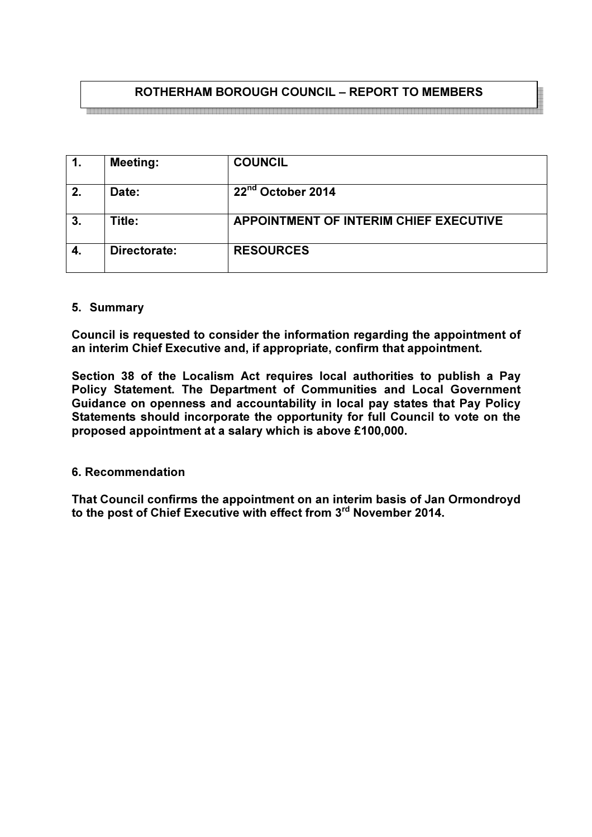# ROTHERHAM BOROUGH COUNCIL – REPORT TO MEMBERS

<br>이 그는 그는 그들은 그들을 것이 없는 것을 것이 없는 것을 것이 없는 것이 없는 것이 없는 것이 없는 것이 없는 것이 없는 것이 없는 것이 없는 것이 없는 것이 없는 것이 없는 것이 없는 것이 없는

| 1. | <b>Meeting:</b> | <b>COUNCIL</b>                         |
|----|-----------------|----------------------------------------|
| 2. | Date:           | 22 <sup>nd</sup> October 2014          |
| 3. | Title:          | APPOINTMENT OF INTERIM CHIEF EXECUTIVE |
| 4. | Directorate:    | <b>RESOURCES</b>                       |

#### 5. Summary

Council is requested to consider the information regarding the appointment of an interim Chief Executive and, if appropriate, confirm that appointment.

Section 38 of the Localism Act requires local authorities to publish a Pay Policy Statement. The Department of Communities and Local Government Guidance on openness and accountability in local pay states that Pay Policy Statements should incorporate the opportunity for full Council to vote on the proposed appointment at a salary which is above £100,000.

#### 6. Recommendation

That Council confirms the appointment on an interim basis of Jan Ormondroyd to the post of Chief Executive with effect from 3<sup>rd</sup> November 2014.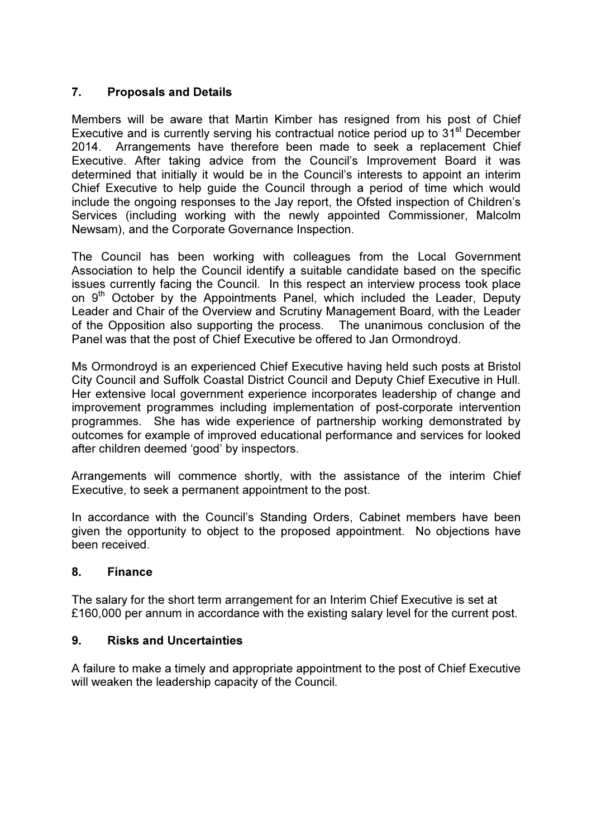# 7. Proposals and Details

Members will be aware that Martin Kimber has resigned from his post of Chief Executive and is currently serving his contractual notice period up to 31<sup>st</sup> December 2014. Arrangements have therefore been made to seek a replacement Chief Executive. After taking advice from the Council's Improvement Board it was determined that initially it would be in the Council's interests to appoint an interim Chief Executive to help guide the Council through a period of time which would include the ongoing responses to the Jay report, the Ofsted inspection of Children's Services (including working with the newly appointed Commissioner, Malcolm Newsam), and the Corporate Governance Inspection.

The Council has been working with colleagues from the Local Government Association to help the Council identify a suitable candidate based on the specific issues currently facing the Council. In this respect an interview process took place on 9<sup>th</sup> October by the Appointments Panel, which included the Leader, Deputy Leader and Chair of the Overview and Scrutiny Management Board, with the Leader of the Opposition also supporting the process. The unanimous conclusion of the Panel was that the post of Chief Executive be offered to Jan Ormondroyd.

Ms Ormondroyd is an experienced Chief Executive having held such posts at Bristol City Council and Suffolk Coastal District Council and Deputy Chief Executive in Hull. Her extensive local government experience incorporates leadership of change and improvement programmes including implementation of post-corporate intervention programmes. She has wide experience of partnership working demonstrated by outcomes for example of improved educational performance and services for looked after children deemed 'good' by inspectors.

Arrangements will commence shortly, with the assistance of the interim Chief Executive, to seek a permanent appointment to the post.

In accordance with the Council's Standing Orders, Cabinet members have been given the opportunity to object to the proposed appointment. No objections have been received.

### 8. Finance

The salary for the short term arrangement for an Interim Chief Executive is set at £160,000 per annum in accordance with the existing salary level for the current post.

### 9. Risks and Uncertainties

A failure to make a timely and appropriate appointment to the post of Chief Executive will weaken the leadership capacity of the Council.